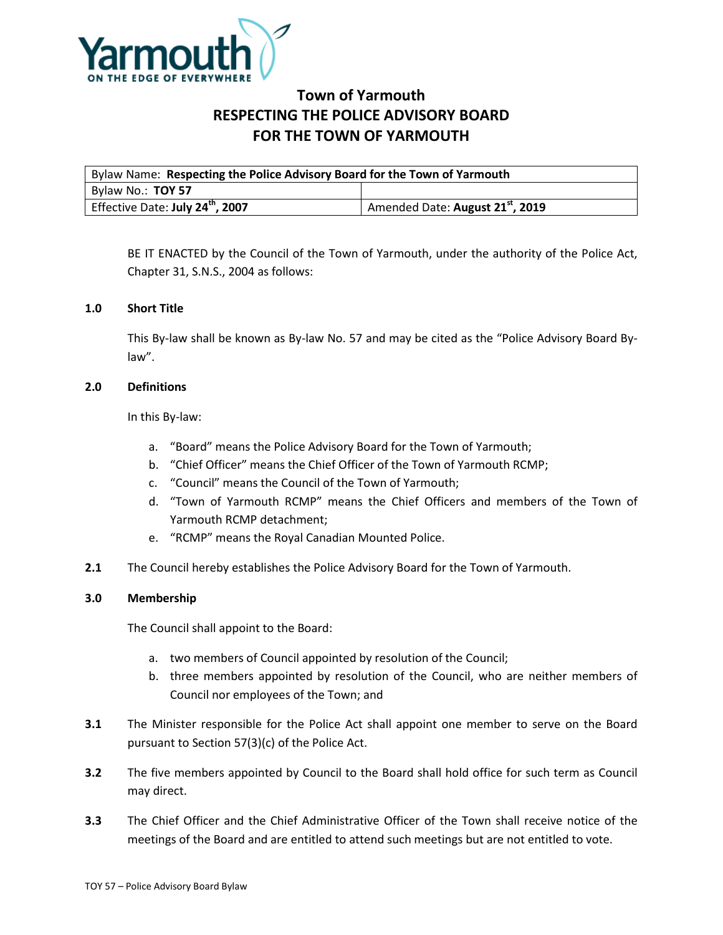

# **Town of Yarmouth RESPECTING THE POLICE ADVISORY BOARD FOR THE TOWN OF YARMOUTH**

| Bylaw Name: Respecting the Police Advisory Board for the Town of Yarmouth |                                              |
|---------------------------------------------------------------------------|----------------------------------------------|
| Bylaw No.: TOY 57                                                         |                                              |
| Effective Date: July 24 <sup>th</sup> , 2007                              | Amended Date: August 21 <sup>st</sup> , 2019 |

BE IT ENACTED by the Council of the Town of Yarmouth, under the authority of the Police Act, Chapter 31, S.N.S., 2004 as follows:

## **1.0 Short Title**

This By-law shall be known as By-law No. 57 and may be cited as the "Police Advisory Board Bylaw".

## **2.0 Definitions**

In this By-law:

- a. "Board" means the Police Advisory Board for the Town of Yarmouth;
- b. "Chief Officer" means the Chief Officer of the Town of Yarmouth RCMP;
- c. "Council" means the Council of the Town of Yarmouth;
- d. "Town of Yarmouth RCMP" means the Chief Officers and members of the Town of Yarmouth RCMP detachment;
- e. "RCMP" means the Royal Canadian Mounted Police.
- **2.1** The Council hereby establishes the Police Advisory Board for the Town of Yarmouth.

#### **3.0 Membership**

The Council shall appoint to the Board:

- a. two members of Council appointed by resolution of the Council;
- b. three members appointed by resolution of the Council, who are neither members of Council nor employees of the Town; and
- **3.1** The Minister responsible for the Police Act shall appoint one member to serve on the Board pursuant to Section 57(3)(c) of the Police Act.
- **3.2** The five members appointed by Council to the Board shall hold office for such term as Council may direct.
- **3.3** The Chief Officer and the Chief Administrative Officer of the Town shall receive notice of the meetings of the Board and are entitled to attend such meetings but are not entitled to vote.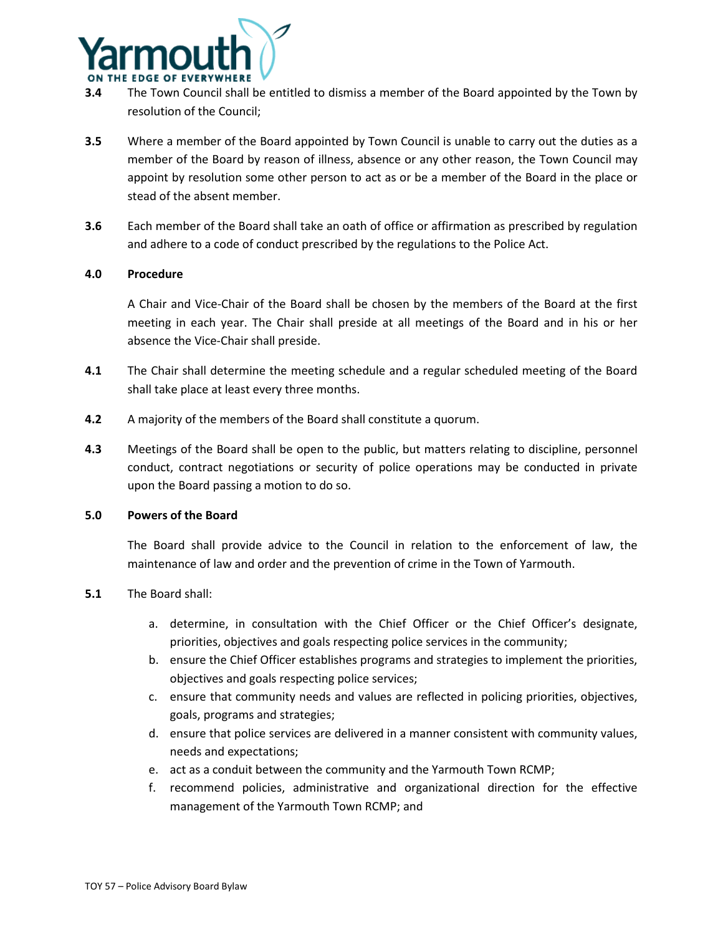

- **3.4** The Town Council shall be entitled to dismiss a member of the Board appointed by the Town by resolution of the Council;
- **3.5** Where a member of the Board appointed by Town Council is unable to carry out the duties as a member of the Board by reason of illness, absence or any other reason, the Town Council may appoint by resolution some other person to act as or be a member of the Board in the place or stead of the absent member.
- **3.6** Each member of the Board shall take an oath of office or affirmation as prescribed by regulation and adhere to a code of conduct prescribed by the regulations to the Police Act.

## **4.0 Procedure**

A Chair and Vice-Chair of the Board shall be chosen by the members of the Board at the first meeting in each year. The Chair shall preside at all meetings of the Board and in his or her absence the Vice-Chair shall preside.

- **4.1** The Chair shall determine the meeting schedule and a regular scheduled meeting of the Board shall take place at least every three months.
- **4.2** A majority of the members of the Board shall constitute a quorum.
- **4.3** Meetings of the Board shall be open to the public, but matters relating to discipline, personnel conduct, contract negotiations or security of police operations may be conducted in private upon the Board passing a motion to do so.

#### **5.0 Powers of the Board**

The Board shall provide advice to the Council in relation to the enforcement of law, the maintenance of law and order and the prevention of crime in the Town of Yarmouth.

# **5.1** The Board shall:

- a. determine, in consultation with the Chief Officer or the Chief Officer's designate, priorities, objectives and goals respecting police services in the community;
- b. ensure the Chief Officer establishes programs and strategies to implement the priorities, objectives and goals respecting police services;
- c. ensure that community needs and values are reflected in policing priorities, objectives, goals, programs and strategies;
- d. ensure that police services are delivered in a manner consistent with community values, needs and expectations;
- e. act as a conduit between the community and the Yarmouth Town RCMP;
- f. recommend policies, administrative and organizational direction for the effective management of the Yarmouth Town RCMP; and